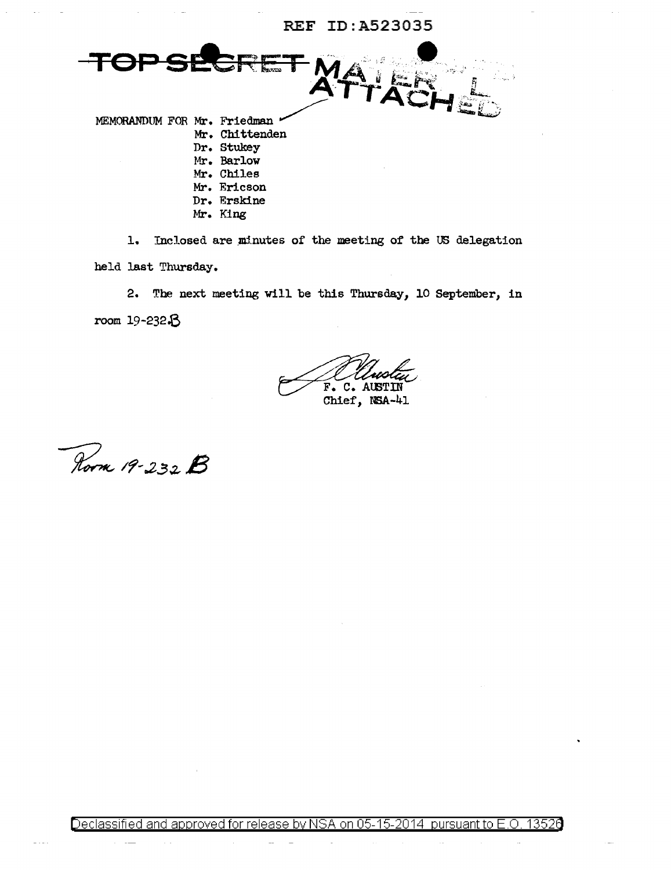#### REF ID:A523035

MEMORANDUM FOR Mr. Friedman \* Mr. Chittenden

- Dr. Stukey
- Mr. Barlow
- Mr. Chiles
- Mr. Ericson
- Dr. Erskine
- Mr. King

1. Inclosed are minutes of the meeting of the US delegation

**TET M** 

held last Thursday.

2. The next meeting will be this Thursday, 10 September, in

room 19-232.B

F. C. AUST Chief, NSA-41

Room 19-232 B

Declassified and approved for release by NSA on 05-15-2014 pursuant to E.O. 13526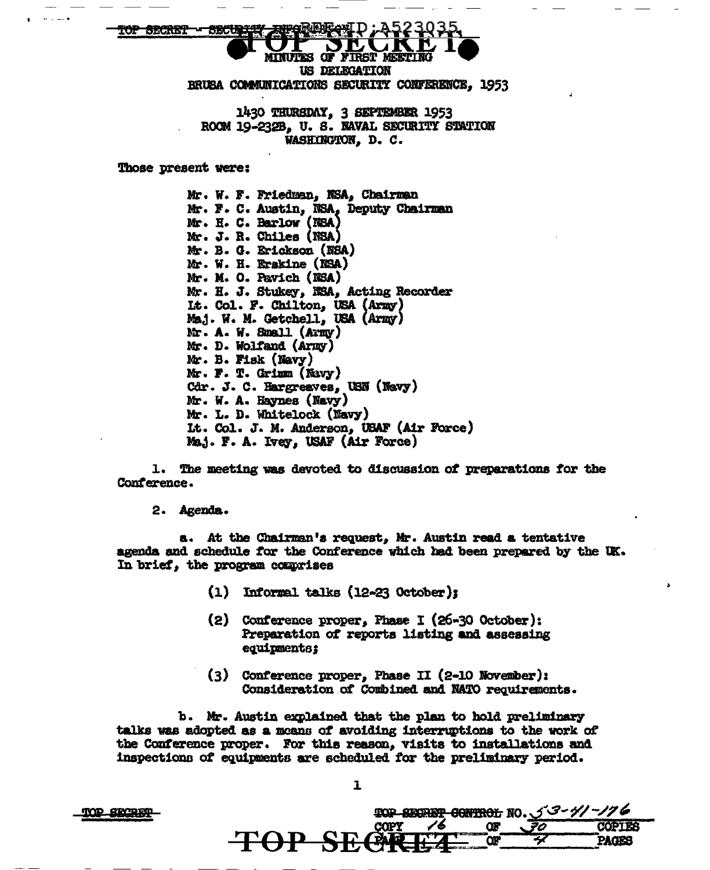MINUTES OF FIRST MEETING US DELEGATION BRUSA COMMUNICATIONS SECURITY CONFERENCE, 1953

1430 THURSDAY, 3 SEPTEMBER 1953 ROOM 19-232B. U. S. NAVAL SECURITY STATION WASHINGTON, D. C.

**Those present were:** 

op Secret - Secu

Mr. W. F. Friedman, NSA, Chairman Mr. F. C. Austin, NSA, Deputy Chairman Mr. H. C. Barlow (NSA) Mr. J. R. Chiles (NSA) Mr. B. G. Erickson (NSA) Mr. W. H. Erskine (NSA) Mr. M. O. Pavich (NSA) Mr. H. J. Stukey, MSA, Acting Recorder Lt. Col. F. Chilton, USA (Army) Maj. W. M. Getchell, USA (Army) Mr. A. W. Small (Army) Mr. D. Wolfand (Army) Mr. B. Fisk (Navy) Mr. F. T. Grimm (Navy) Cdr. J. C. Hargreaves, USN (Navy) Mr. W. A. Haynes (Navy) Mr. L. D. Whitelock (Navy) Lt. Col. J. M. Anderson, USAF (Air Force) Maj. F. A. Ivey, USAF (Air Force)

1. The meeting was devoted to discussion of preparations for the Conference.

2. Agenda.

a. At the Chairman's request, Mr. Austin read a tentative agenda and schedule for the Conference which had been prepared by the UK. In brief, the program comprises

- $(1)$  Informal talks  $(12-23$  October);
- (2) Conference proper, Phase I (26-30 October): Preparation of reports listing and assessing equipments;
- (3) Conference proper, Phase II (2-10 November): Consideration of Combined and NATO requirements.

b. Mr. Austin explained that the plan to hold preliminary talks was adopted as a means of avoiding interruptions to the work of the Conference proper. For this reason, visits to installations and inspections of equipments are scheduled for the preliminary period.

 $\mathbf{1}$ 

TOP SECRET

|  |             | <b>TOP SECRET CONTROL NO. 53-41-176</b> |  |
|--|-------------|-----------------------------------------|--|
|  |             |                                         |  |
|  | TOP SECREAL |                                         |  |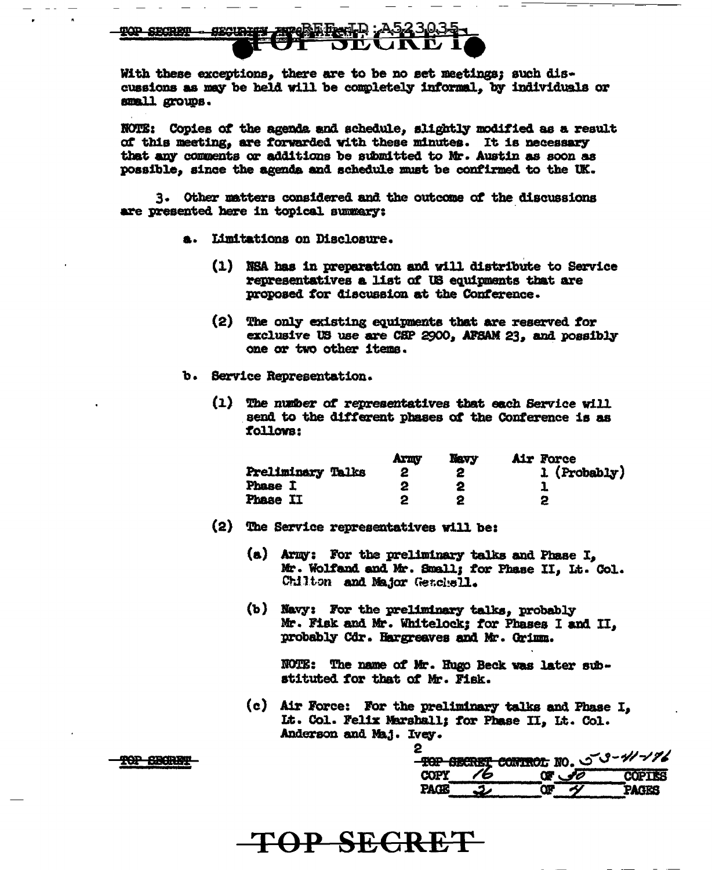With these exceptions, there are to be no set meetings; such discussions as may be held will be completely informal, by individuals or small groups.

NOTE: Copies of the agenda and schedule, slightly modified as a result of this meeting, are forwarded with these minutes. It is necessary that any comments or additions be submitted to Mr. Austin as soon as possible, since the agenda and schedule must be confirmed to the UK.

3. Other matters considered and the outcome of the discussions are presented here in topical summary:

- a. Limitations on Disclosure.
	- (1) NSA has in preparation and will distribute to Service representatives a list of US equipments that are proposed for discussion at the Conference.
	- $(2)$ The only existing equipments that are reserved for exclusive US use are CSP 2900, AFSAM 23, and possibly one or two other items.
- b. Service Representation.
	- The number of representatives that each Service will  $(1)$ send to the different phases of the Conference is as follows:

|                   | Arny | <b>Navy</b> | Air Force    |
|-------------------|------|-------------|--------------|
| Preliminary Talks |      |             | 1 (Probably) |
| Phase I           |      |             |              |
| Phase II          |      |             |              |

- (2) The Service representatives will be:
	- (a) Army: For the preliminary talks and Phase I. Mr. Wolfand and Mr. Small; for Phase II, Lt. Col. Chilton and Major Genchell.
	- (b) Navy: For the preliminary talks, probably Mr. Fisk and Mr. Whitelock: for Phases I and II, probably Cdr. Hargreaves and Mr. Crimm.

NOTE: The name of Mr. Hugo Beck was later substituted for that of Mr. Fisk.

(c) Air Force: For the preliminary talks and Phase I, Lt. Col. Felix Marshall: for Phase II. Lt. Col. Anderson and Maj. Ivey.

|             | <b>TOP SECRET CONTROL NO. 50-41-176</b> |               |
|-------------|-----------------------------------------|---------------|
| <b>COPY</b> | <b>CF 30</b>                            | <b>COPTES</b> |
| <b>PAGE</b> |                                         | <b>PAGES</b>  |

## TOP SECRET

TOP SHORET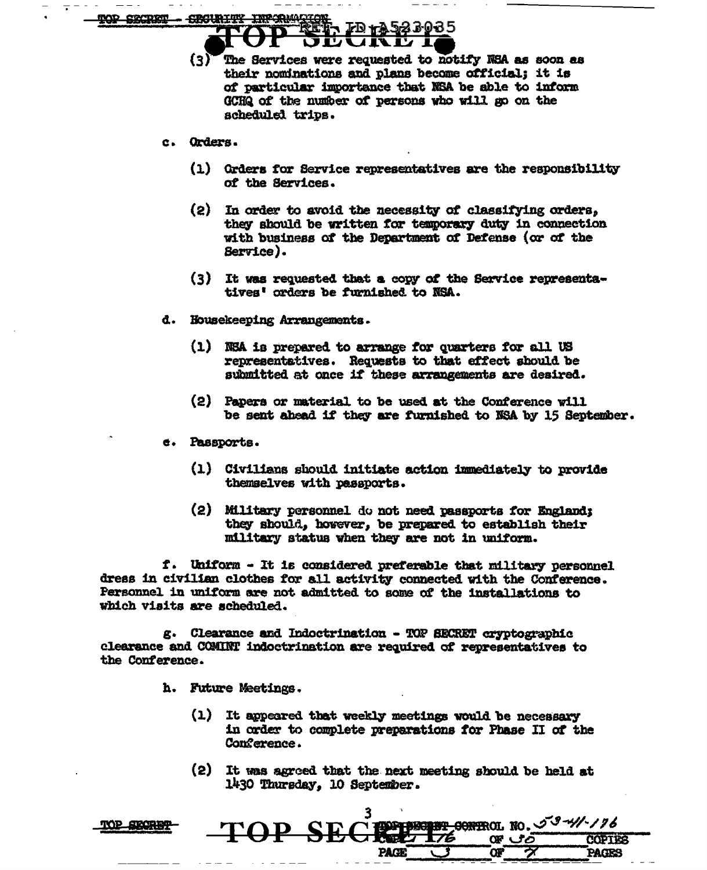COMPOSIT -CROLINIAN

70 <del>1</del>7923035

The Services were requested to notify NSA as soon as  $\{3\}$ their nominations and plans become official; it is of particular importance that NSA be able to inform GCHQ of the number of persons who will go on the acheduled trips.

#### c. Orders.

- (1) Orders for Service representatives are the responsibility of the Services.
- $(2)$  In order to avoid the necessity of classifying orders, they should be written for temporary duty in connection with business of the Department of Defense (or of the Service).
- (3) It was requested that a copy of the Service representatives' orders be furnished to NSA.
- d. Housekeeping Arrangements.
	- (1) NSA is prepared to arrange for quarters for all US representatives. Requests to that effect should be submitted at once if these arrangements are desired.
	- (2) Papers or material to be used at the Conference will be sent abead if they are furnished to NSA by 15 September.
- e. Passports.
	- (1) Civilians should initiate action immediately to provide themselves with passports.
	- (2) Military personnel do not need passports for England: they should, however, be prepared to establish their military status when they are not in uniform.

f. Uniform - It is considered preferable that military personnel dress in civilian clothes for all activity connected with the Conference. Personnel in uniform are not admitted to some of the installations to which visits are scheduled.

g. Clearance and Indoctrination - TOP SECRET cryptographic clearance and COMINT indoctrination are required of representatives to the Conference.

- h. Future Meetings.
	- $(1)$ It appeared that weekly meetings would be necessary in order to complete preparations for Phase II of the Com<sup>e</sup>rence.
	- It was agreed that the next meeting should be held at  $(2)$ 1430 Thursday, 10 September.

**PAGE** 

**GONTROL NO. 53-4/1-176** 

**COPIES** 

PAGES

08 ප්ර

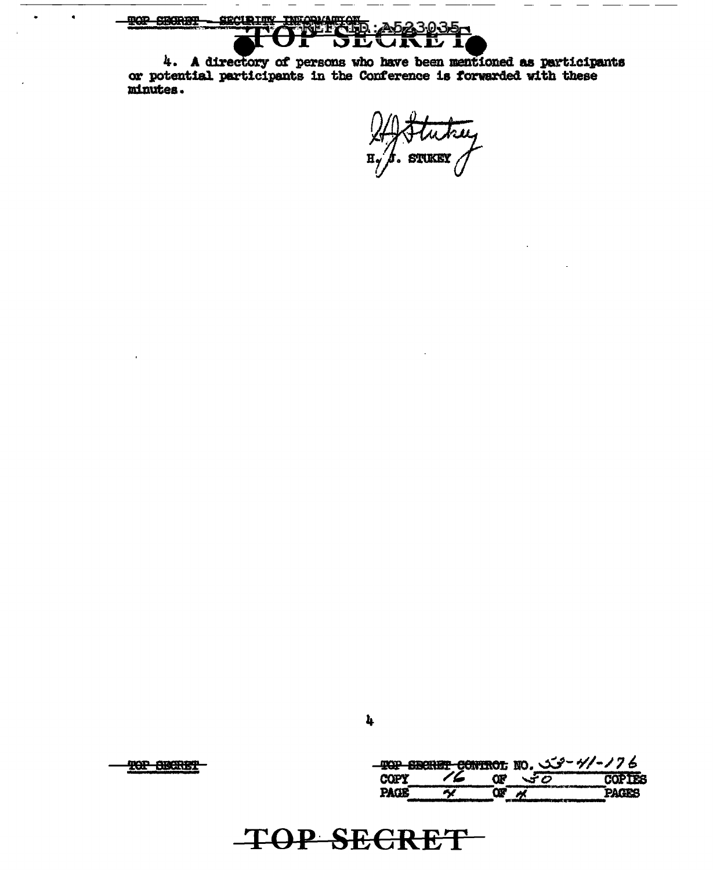TOP SECRET

TOP BECRET

 $\bullet$ 

TOP SHORD?

minutes.

SECURITY INFORMATION

JĿ

 $4.$  A directory of persons who have been mentioned as participants or potential participants in the Conference is forwarded with these

|             |        |     | - TOP SECRET CONTROL NO. تكت - 1/4 / 76 |
|-------------|--------|-----|-----------------------------------------|
| <b>COPY</b> | $\sim$ | マナク | <b>COPTER</b>                           |
| PAGR        |        |     | 2 Kara                                  |

STUKEY

n,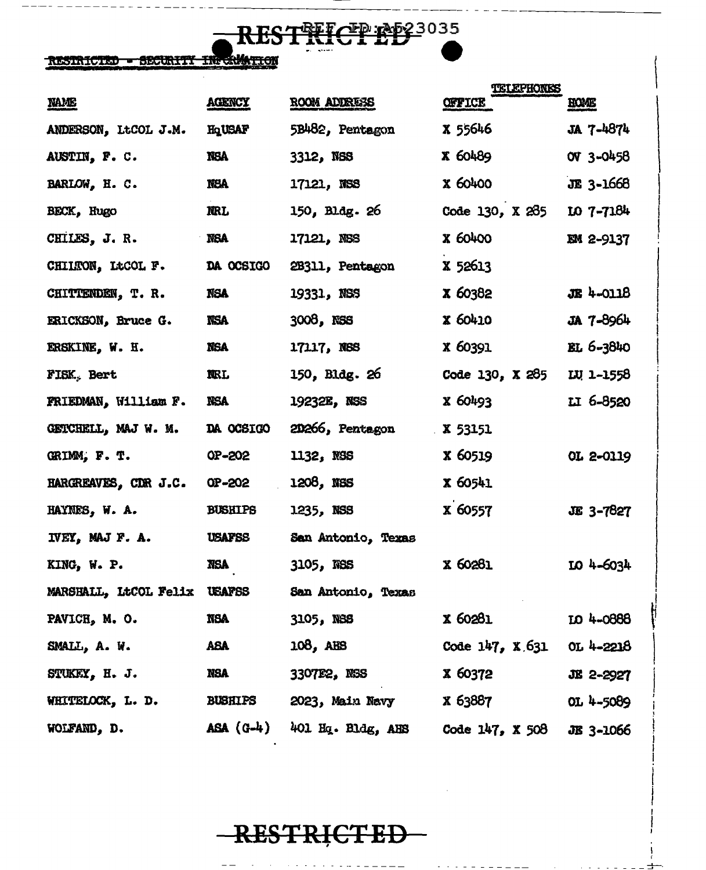

### RESTRICTED - SECURITY IN CAMATION

|                              |                |                    | TELEPHONES        |                  |
|------------------------------|----------------|--------------------|-------------------|------------------|
| <b>NAME</b>                  | <b>AGENCY</b>  | ROOM ADDRESS       | <b>OFFICE</b>     | <b>HOME</b>      |
| ANDERSON, LtCOL J.M.         | HqUSAF         | 5B482, Pentagon    | X 55646           | JA 7-4874        |
| AUSTIN, F. C.                | <b>NSA</b>     | 3312, NSS          | <b>X 60489</b>    | OV 3-0458        |
| BARLOW, H. C.                | NSA            | 17121, NSS         | <b>x 60400</b>    | JE 3-1668        |
| BECK, Hugo                   | <b>NRL</b>     | 150, Bldg. 26      | Code 130, X 285   | $107 - 7184$     |
| CHILES, J. R.                | <b>NSA</b>     | 17121, NSS         | <b>X 60400</b>    | <b>EM 2-9137</b> |
| CHILTON, LtCOL F.            | DA OCSIGO      | 2B311, Pentagon    | <b>X 52613</b>    |                  |
| CHITTENDEN, T. R.            | <b>NSA</b>     | 19331, NSS         | <b>X 60382</b>    | <b>JE 4-0118</b> |
| ERICKSON, Bruce G.           | NSA            | 3008, NSS          | <b>X 60410</b>    | JA 7-8964        |
| ERSKINE, W. H.               | <b>NGA</b>     | 17117, NSS         | <b>x 60391</b>    | $BL 6 - 3840$    |
| FISK, Bert                   | <b>NRL</b>     | 150, Bldg. 26      | Code 130, $X$ 285 | LU 1-1558        |
| FRIEDMAN, William F.         | <b>NSA</b>     | 19232E, NSS        | X 60493           | II 6-8520        |
| GETCHELL, MAJ W. M.          | DA OCSIGO      | 20266, Pentagon    | X 53151           |                  |
| GRIMM, F. T.                 | OP-202         | 1132, NSS          | X 60519           | OL 2-0119        |
| HARGREAVES, CDR J.C.         | OP-202         | 1208, NSS          | X 60541           |                  |
| HAYNES, W. A.                | <b>BUSHIPS</b> | 1235, NSS          | X 60557           | <b>JE 3-7827</b> |
| IVEY, MAJ F. A.              | <b>USAFSS</b>  | San Antonio, Texas |                   |                  |
| KING, W. P.                  | <b>NSA</b>     | 3105, NSS          | <b>x 60281</b>    | $104 - 6034$     |
| MARSHALL, LtCOL Felix USAFSS |                | San Antonio, Texas |                   |                  |
| PAVICH, M. O.                | <b>NSA</b>     | 3105, NSS          | <b>x 60281</b>    | LO 4-0888        |
| SMALL, A. W.                 | ABA            | 108, AHS           | Code $147, X.631$ | OL 4-2218        |
| STUKEY, H. J.                | NSA            | 3307E2, NSS        | X 60372           | JE 2-2927        |
| WHITELOCK, L. D.             | <b>BUSHIPS</b> | 2023, Main Navy    | x 63887           | OL $4 - 5089$    |
| WOLFAND, D.                  | $ASA (G-4)$    | 401 Hq. Bldg, AHS  | Code 147, X 508   | JE 3-1066        |

-RESTRICTED-

. . . . . . . <u>. . . . .</u> . . . . . .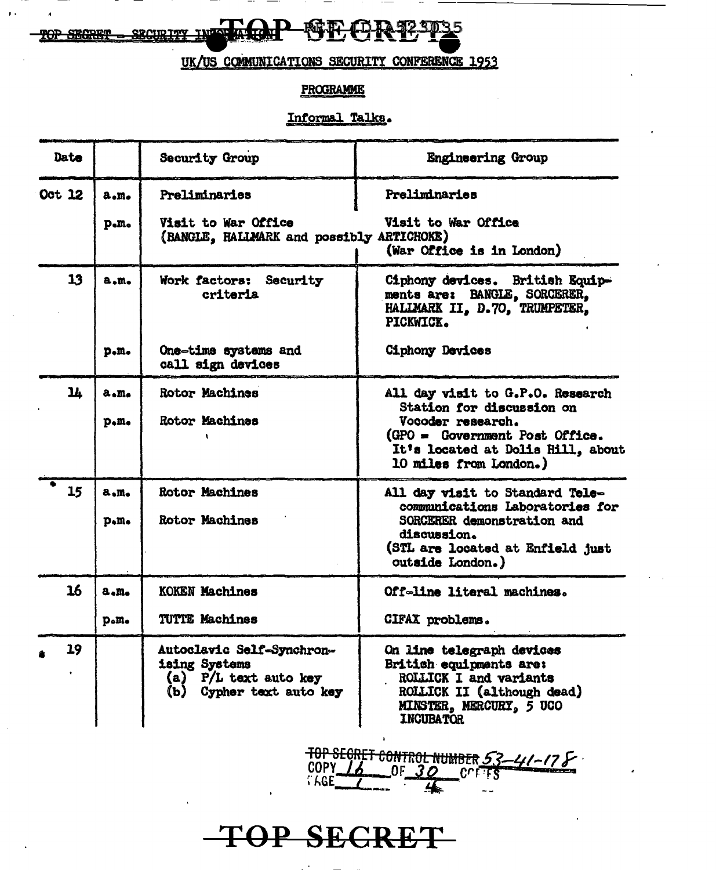$\Gamma$ 破転 Œ 92.3035 **TOP SHORET** 

UK/US COMMUNICATIONS SECURITY CONFERENCE 1953

#### **PROGRAMME**

#### Informal Talks.

| Date   |              | Security Group                                                                                       | <b>Engineering Group</b>                                                                                                                                                            |
|--------|--------------|------------------------------------------------------------------------------------------------------|-------------------------------------------------------------------------------------------------------------------------------------------------------------------------------------|
| Oct 12 | a.m.         | Preliminaries                                                                                        | Preliminaries                                                                                                                                                                       |
|        | p.m.         | Visit to War Office<br>(BANGLE, HALLMARK and possibly ARTICHOKE)                                     | Visit to War Office<br>(War Office is in London)                                                                                                                                    |
| 13     | a.m.         | Work factors: Security<br>criteria                                                                   | Ciphony devices. British Equip-<br>ments are: BANGLE, SORCERER,<br>HALIMARK II, D.70, TRUMPETER,<br>PICKWICK.                                                                       |
|        | p.n.         | One-time systems and<br>call sign devices                                                            | <b>Ciphony Devices</b>                                                                                                                                                              |
| 14     | a.m.<br>p.m. | <b>Rotor Machines</b><br>Rotor Machines                                                              | All day visit to G.P.O. Research<br>Station for discussion on<br>Vocoder research.<br>(GPO = Government Post Office.<br>It's located at Dolis Hill, about<br>10 miles from London.) |
| 15     | a.m.<br>p.m. | <b>Rotor Machines</b><br>Rotor Machines                                                              | All day visit to Standard Tele-<br>communications Laboratories for<br>SORCERER demonstration and<br>discussion.<br>(STL are located at Enfield just<br>outside London.)             |
| 16     | a.m.         | <b>KOKEN Machines</b>                                                                                | Off-line literal machines.                                                                                                                                                          |
|        | p.m.         | <b>TUTTE Machines</b>                                                                                | CIFAX problems.                                                                                                                                                                     |
| 19     |              | Autoclavic Self-Synchron-<br>ising Systems<br>$(a)$ P/L text auto key<br>(b)<br>Cypher text auto key | On line telegraph devices<br>British equipments are:<br>ROLLICK I and variants<br>ROLLICK II (although dead)<br>MINSTER, MERCURY, 5 UCO<br><b>INCUBATOR</b>                         |

TOP SEGRET CONTROL NUMBER 53-41-178

TOP SECRET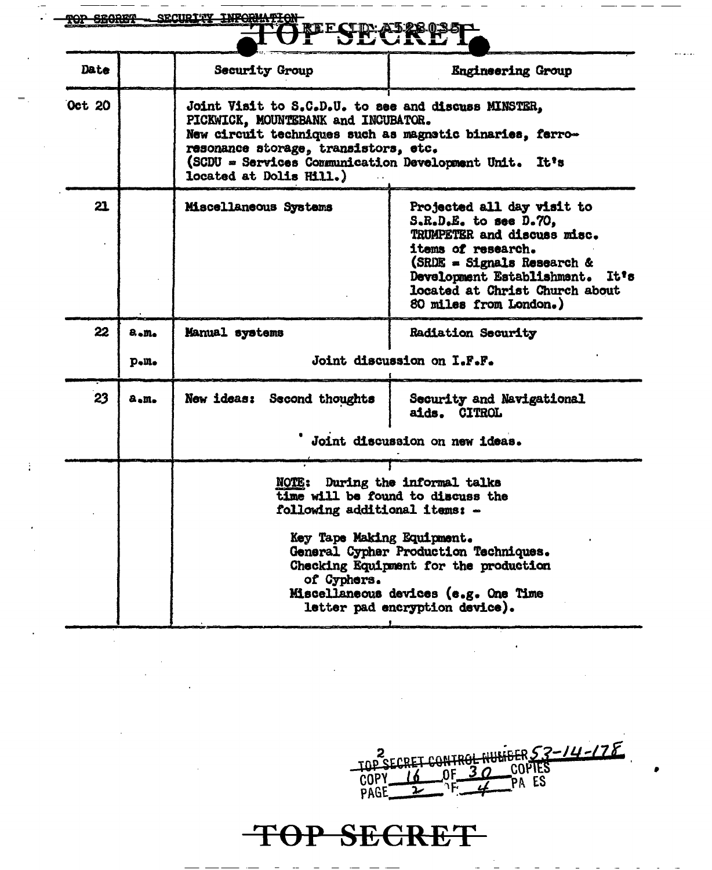| TOP SEGRET |      | SECURITY INFORMATION                                                                                                                                                                                                                                                               |                                                                                                                                                                                                                                       |  |  |
|------------|------|------------------------------------------------------------------------------------------------------------------------------------------------------------------------------------------------------------------------------------------------------------------------------------|---------------------------------------------------------------------------------------------------------------------------------------------------------------------------------------------------------------------------------------|--|--|
| Date       |      | <b>Security Group</b>                                                                                                                                                                                                                                                              | <b>Engineering Group</b>                                                                                                                                                                                                              |  |  |
| Oct 20     |      | Joint Visit to S.C.D.U. to see and discuss MINSTER,<br>PICKWICK, MOUNTEBANK and INCUBATOR.<br>New circuit techniques such as magnetic binaries, ferro-<br>resonance storage, transistors, etc.<br>(SCDU = Services Communication Development Unit. It's<br>located at Dolis Hill.) |                                                                                                                                                                                                                                       |  |  |
| 21         |      | Miscellaneous Systems                                                                                                                                                                                                                                                              | Projected all day visit to<br>S.R.D.E. to see D.70,<br>TRUMPETER and discuss misc.<br>items of research.<br>(SRDE = Signals Research &<br>Development Establishment. It's<br>located at Christ Church about<br>80 miles from London.) |  |  |
| 22         | a.m. | Manual systems                                                                                                                                                                                                                                                                     | <b>Radiation Security</b>                                                                                                                                                                                                             |  |  |
|            | p.n. | Joint discussion on I.F.F.                                                                                                                                                                                                                                                         |                                                                                                                                                                                                                                       |  |  |
| 23         | a.m. | New ideas: Second thoughts                                                                                                                                                                                                                                                         | Security and Navigational<br>aids. CITROL                                                                                                                                                                                             |  |  |
|            |      |                                                                                                                                                                                                                                                                                    | Joint discussion on new ideas.                                                                                                                                                                                                        |  |  |
|            |      | <b>NOTE:</b><br>following additional items: -<br>Key Tape Making Equipment.<br>of Cyphers.                                                                                                                                                                                         | During the informal talks<br>time will be found to discuss the<br>General Cypher Production Techniques.<br>Checking Equipment for the production<br>Miscellaneous devices (e.g. One Time<br>letter pad encryption device).            |  |  |

 $\frac{1}{4}$ 

2<br>TOP SECRET CONTROL HUMBER 53-14-178

 $\hat{\mathcal{A}}$ 

•

# TOP SECRET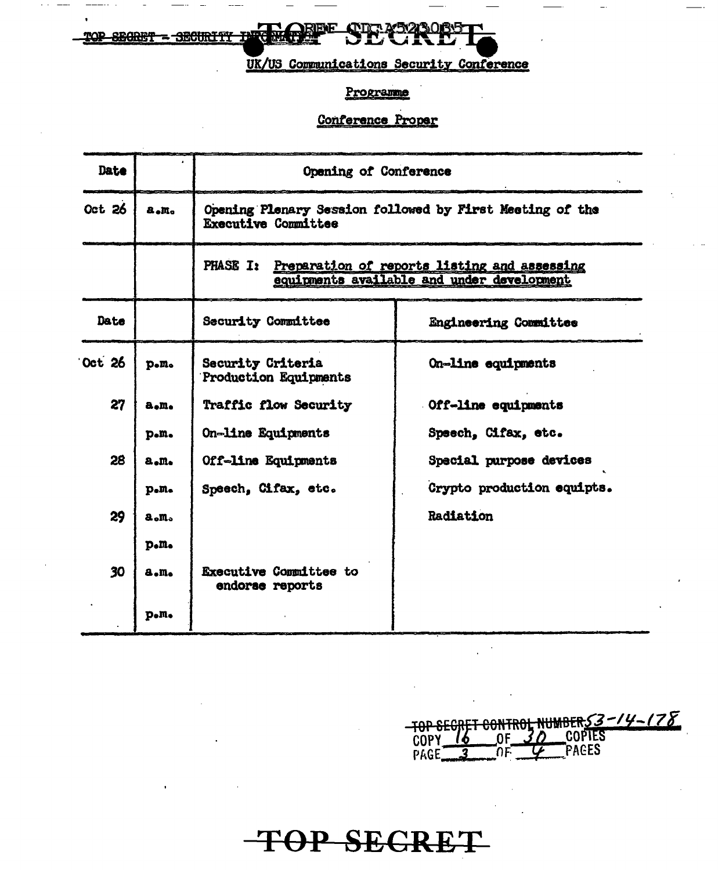**ETE**<br>ETER SE **Chuch SEGRET SECURTTY** 

TOP

UK/US Communications Security Conference

#### Programme

#### Conference Proper

| Date          |                          | Opening of Conference                                                                                         |                              |  |  |
|---------------|--------------------------|---------------------------------------------------------------------------------------------------------------|------------------------------|--|--|
| Oct 26        | a.m.                     | Opening Plenary Session followed by First Meeting of the<br><b>Executive Committee</b>                        |                              |  |  |
|               |                          | <b>PHASE I:</b><br>Preparation of reports listing and assessing<br>equipments available and under development |                              |  |  |
| Date          |                          | <b>Security Committee</b>                                                                                     | <b>Engineering Committee</b> |  |  |
| <b>Oct</b> 26 | p.m.                     | Security Criteria<br><b>Production Equipments</b>                                                             | On-line equipments           |  |  |
| 27            | a.m.                     | <b>Traffic flow Security</b>                                                                                  | Off-line equipments          |  |  |
|               | p.m.                     | On-line Equipments                                                                                            | Speech, Cifax, etc.          |  |  |
| 28            | a.m.                     | Off-line Equipments                                                                                           | Special purpose devices      |  |  |
|               | $p_{\bullet}m_{\bullet}$ | Speech, Cifax, etc.                                                                                           | Crypto production equipts.   |  |  |
| 29            | a.m.                     |                                                                                                               | Radiation                    |  |  |
|               | $p_e$ $m_e$              |                                                                                                               |                              |  |  |
| 30            | a.m.                     | <b>Executive Committee to</b><br>endorse reports                                                              |                              |  |  |
|               | p.m.                     |                                                                                                               |                              |  |  |

TOP SECRET